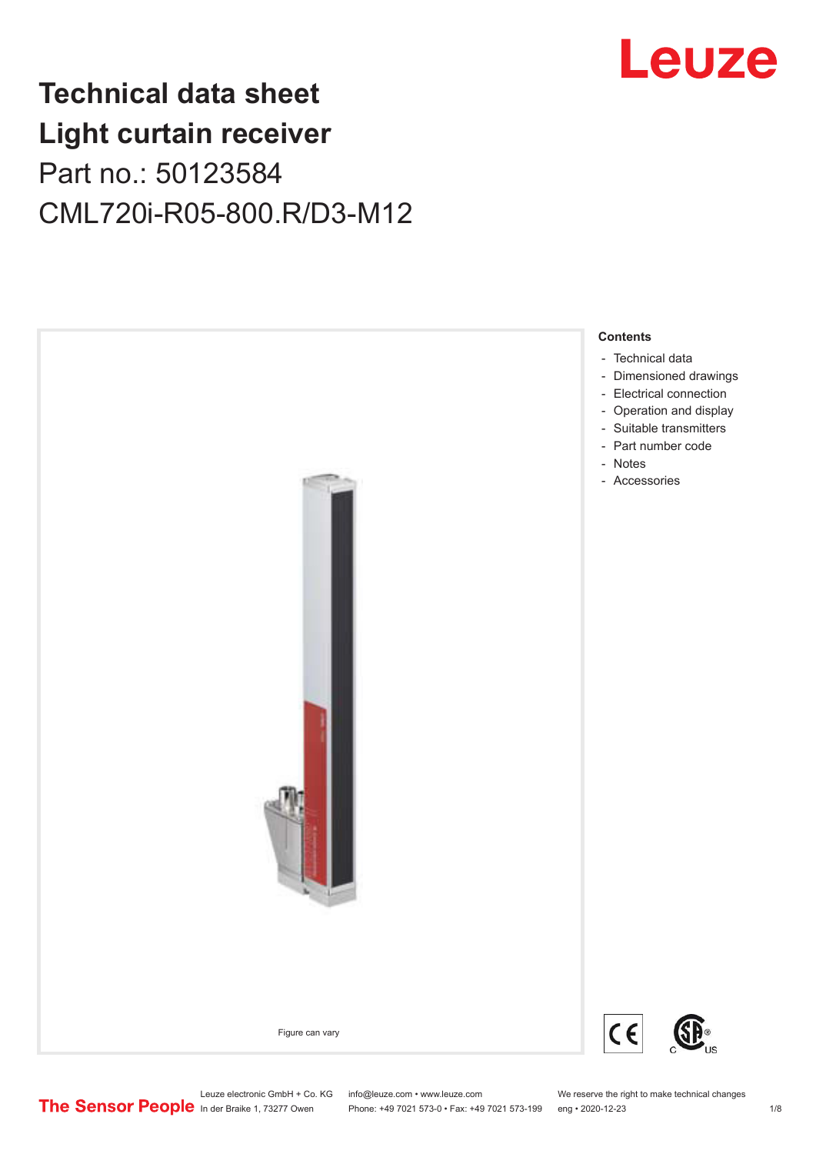# Leuze

## **Technical data sheet Light curtain receiver** Part no.: 50123584 CML720i-R05-800.R/D3-M12



Leuze electronic GmbH + Co. KG info@leuze.com • www.leuze.com We reserve the right to make technical changes<br>
The Sensor People in der Braike 1, 73277 Owen Phone: +49 7021 573-0 • Fax: +49 7021 573-199 eng • 2020-12-23

Phone: +49 7021 573-0 • Fax: +49 7021 573-199 eng • 2020-12-23 1 /8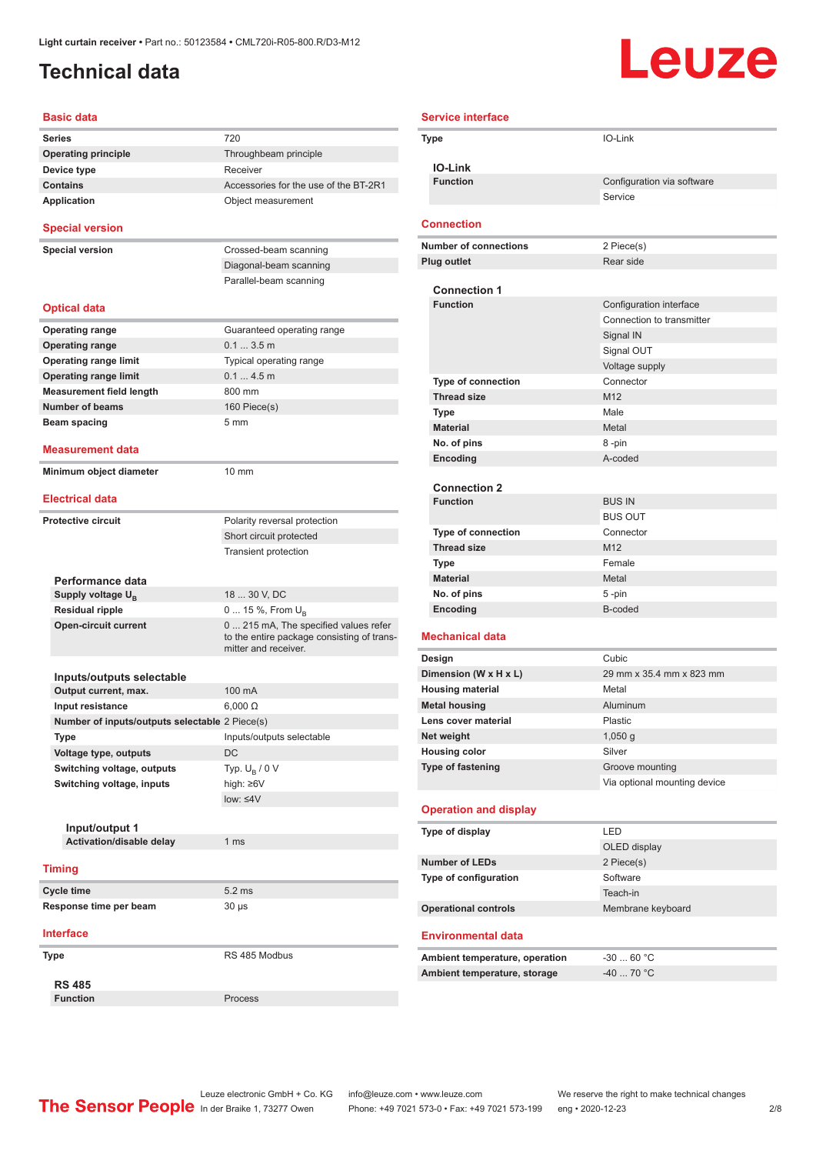### <span id="page-1-0"></span>**Technical data**

# **Leuze**

| <b>Basic data</b>                              |                                                                                                             |
|------------------------------------------------|-------------------------------------------------------------------------------------------------------------|
| <b>Series</b>                                  | 720                                                                                                         |
| <b>Operating principle</b>                     | Throughbeam principle                                                                                       |
| Device type                                    | Receiver                                                                                                    |
| <b>Contains</b>                                | Accessories for the use of the BT-2R1                                                                       |
| Application                                    | Object measurement                                                                                          |
| <b>Special version</b>                         |                                                                                                             |
| <b>Special version</b>                         | Crossed-beam scanning                                                                                       |
|                                                | Diagonal-beam scanning                                                                                      |
|                                                | Parallel-beam scanning                                                                                      |
| <b>Optical data</b>                            |                                                                                                             |
| Operating range                                | Guaranteed operating range                                                                                  |
| <b>Operating range</b>                         | 0.13.5m                                                                                                     |
| <b>Operating range limit</b>                   | Typical operating range                                                                                     |
| <b>Operating range limit</b>                   | 0.14.5m                                                                                                     |
| <b>Measurement field length</b>                | 800 mm                                                                                                      |
| <b>Number of beams</b>                         | 160 Piece(s)                                                                                                |
| Beam spacing                                   | 5 <sub>mm</sub>                                                                                             |
|                                                |                                                                                                             |
| Measurement data                               |                                                                                                             |
| Minimum object diameter                        | $10 \text{ mm}$                                                                                             |
| <b>Electrical data</b>                         |                                                                                                             |
| <b>Protective circuit</b>                      | Polarity reversal protection                                                                                |
|                                                | Short circuit protected                                                                                     |
|                                                | <b>Transient protection</b>                                                                                 |
|                                                |                                                                                                             |
| Performance data                               |                                                                                                             |
| Supply voltage U <sub>B</sub>                  | 18  30 V, DC                                                                                                |
| <b>Residual ripple</b>                         | 0  15 %, From U <sub>B</sub>                                                                                |
| <b>Open-circuit current</b>                    | 0  215 mA, The specified values refer<br>to the entire package consisting of trans-<br>mitter and receiver. |
|                                                |                                                                                                             |
| Inputs/outputs selectable                      |                                                                                                             |
| Output current, max.                           | 100 mA                                                                                                      |
| Input resistance                               | $6,000 \Omega$                                                                                              |
| Number of inputs/outputs selectable 2 Piece(s) |                                                                                                             |
| Type                                           | Inputs/outputs selectable<br>DC                                                                             |
| Voltage type, outputs                          |                                                                                                             |
| Switching voltage, outputs                     | Typ. $U_{\rm B}$ / 0 V                                                                                      |
| Switching voltage, inputs                      | high: $\geq 6V$                                                                                             |
|                                                | $low: \leq 4V$                                                                                              |
| Input/output 1                                 |                                                                                                             |
| Activation/disable delay                       | 1 <sub>ms</sub>                                                                                             |
|                                                |                                                                                                             |
| <b>Timing</b>                                  |                                                                                                             |
| <b>Cycle time</b>                              | 5.2 ms                                                                                                      |
| Response time per beam                         | $30 \mu s$                                                                                                  |
| Interface                                      |                                                                                                             |
| Type                                           | RS 485 Modbus                                                                                               |
| <b>RS 485</b>                                  |                                                                                                             |
| <b>Function</b>                                | Process                                                                                                     |

| <b>Service interface</b>                    |                              |
|---------------------------------------------|------------------------------|
| Type                                        | IO-Link                      |
|                                             |                              |
| <b>IO-Link</b>                              |                              |
| <b>Function</b>                             | Configuration via software   |
|                                             | Service                      |
| <b>Connection</b>                           |                              |
| <b>Number of connections</b>                | 2 Piece(s)                   |
| <b>Plug outlet</b>                          | Rear side                    |
|                                             |                              |
| <b>Connection 1</b>                         |                              |
| <b>Function</b>                             | Configuration interface      |
|                                             | Connection to transmitter    |
|                                             | Signal IN                    |
|                                             | Signal OUT                   |
|                                             | Voltage supply               |
| Type of connection                          | Connector<br>M12             |
| <b>Thread size</b>                          | Male                         |
| <b>Type</b><br><b>Material</b>              |                              |
|                                             | Metal                        |
| No. of pins                                 | 8-pin<br>A-coded             |
| Encoding                                    |                              |
| <b>Connection 2</b>                         |                              |
| <b>Function</b>                             | <b>BUS IN</b>                |
|                                             | <b>BUS OUT</b>               |
| <b>Type of connection</b>                   | Connector                    |
| <b>Thread size</b>                          | M12                          |
| Type                                        | Female                       |
| <b>Material</b>                             | Metal                        |
| No. of pins                                 | 5-pin                        |
| Encoding                                    | B-coded                      |
|                                             |                              |
| <b>Mechanical data</b>                      |                              |
| Design                                      | Cubic                        |
| Dimension (W x H x L)                       | 29 mm x 35.4 mm x 823 mm     |
| <b>Housing material</b>                     | Metal<br>Aluminum            |
| <b>Metal housing</b><br>Lens cover material | Plastic                      |
| Net weight                                  |                              |
| <b>Housing color</b>                        | $1,050$ g<br>Silver          |
| Type of fastening                           | Groove mounting              |
|                                             | Via optional mounting device |
|                                             |                              |
| <b>Operation and display</b>                |                              |
| Type of display                             | LED                          |
|                                             | OLED display                 |
| <b>Number of LEDs</b>                       | 2 Piece(s)                   |
| Type of configuration                       | Software                     |
|                                             | Teach-in                     |
| <b>Operational controls</b>                 | Membrane keyboard            |
|                                             |                              |
| <b>Environmental data</b>                   |                              |
| Ambient temperature, operation              | $-3060 °C$                   |
| Ambient temperature, storage                | $-40$ 70 °C                  |
|                                             |                              |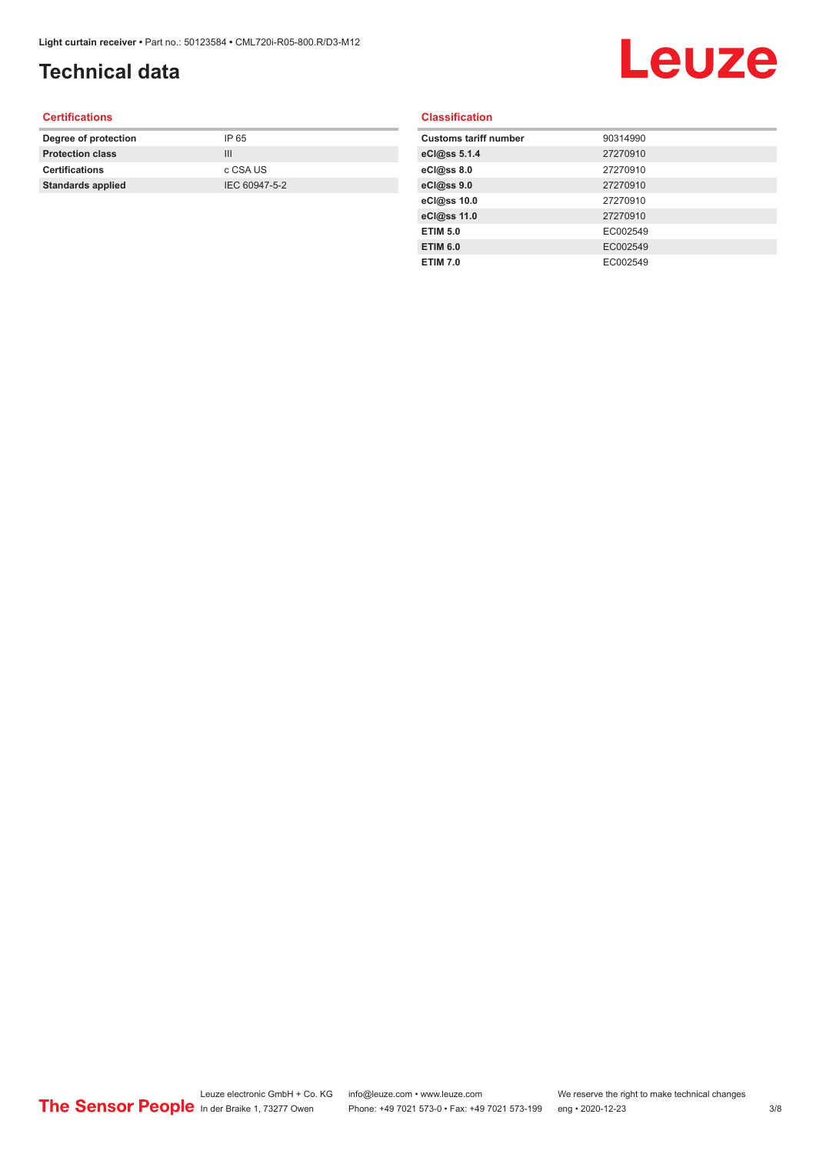## **Technical data**

# Leuze

#### **Certifications**

| Degree of protection     | IP 65         |
|--------------------------|---------------|
| <b>Protection class</b>  | Ш             |
| <b>Certifications</b>    | c CSA US      |
| <b>Standards applied</b> | IEC 60947-5-2 |
|                          |               |

#### **Classification**

| <b>Customs tariff number</b> | 90314990 |
|------------------------------|----------|
| eCl@ss 5.1.4                 | 27270910 |
| eCl@ss 8.0                   | 27270910 |
| eCl@ss 9.0                   | 27270910 |
| eCl@ss 10.0                  | 27270910 |
| eCl@ss 11.0                  | 27270910 |
| <b>ETIM 5.0</b>              | EC002549 |
| <b>ETIM 6.0</b>              | EC002549 |
| <b>ETIM 7.0</b>              | EC002549 |
|                              |          |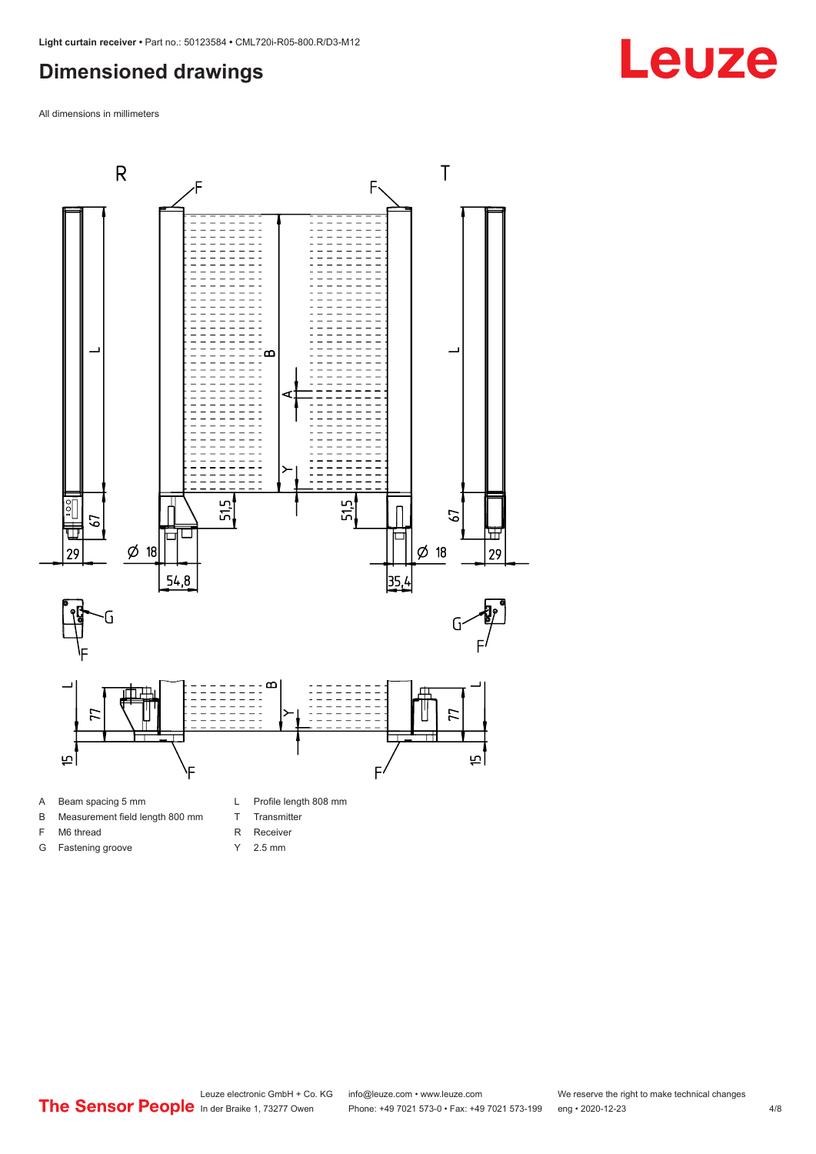#### <span id="page-3-0"></span>**Dimensioned drawings**

All dimensions in millimeters





F M6 thread G Fastening groove

- T Transmitter
- R Receiver
- Y 2.5 mm

Leuze electronic GmbH + Co. KG info@leuze.com • www.leuze.com We reserve the right to make technical changes<br>
The Sensor People in der Braike 1, 73277 Owen Phone: +49 7021 573-0 • Fax: +49 7021 573-199 eng • 2020-12-23 Phone: +49 7021 573-0 • Fax: +49 7021 573-199 eng • 2020-12-23 4/8

## **Leuze**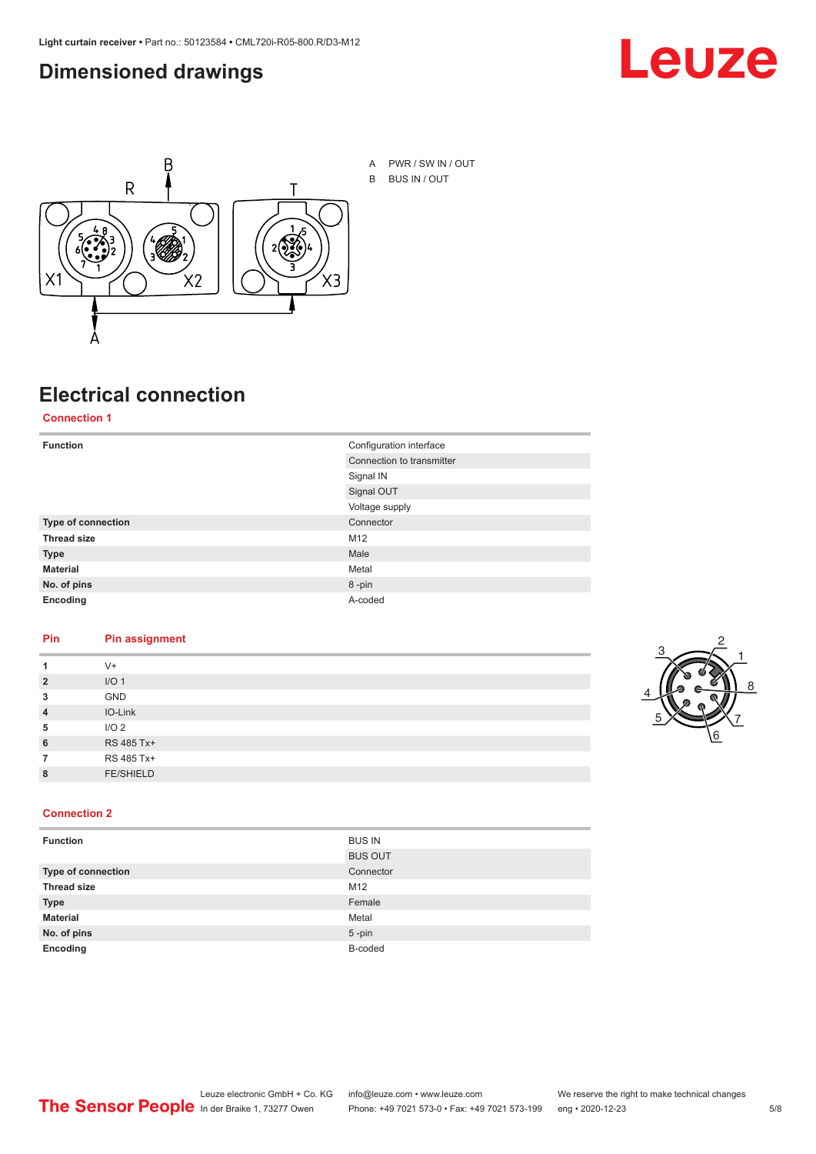#### <span id="page-4-0"></span>**Dimensioned drawings**





## **Electrical connection**

**Connection 1**

| <b>Function</b>    | Configuration interface   |
|--------------------|---------------------------|
|                    | Connection to transmitter |
|                    | Signal IN                 |
|                    | Signal OUT                |
|                    | Voltage supply            |
| Type of connection | Connector                 |
| <b>Thread size</b> | M12                       |
| <b>Type</b>        | Male                      |
| <b>Material</b>    | Metal                     |
| No. of pins        | 8-pin                     |
| Encoding           | A-coded                   |

#### **Pin Pin assignment**

| 1              | $V +$            |  |  |
|----------------|------------------|--|--|
| $\overline{2}$ | I/O <sub>1</sub> |  |  |
| 3              | <b>GND</b>       |  |  |
| $\overline{4}$ | IO-Link          |  |  |
| 5              | I/O <sub>2</sub> |  |  |
| 6              | RS 485 Tx+       |  |  |
| 7              | RS 485 Tx+       |  |  |
| 8              | <b>FE/SHIELD</b> |  |  |
|                |                  |  |  |



#### **Connection 2**

| <b>Function</b>    | <b>BUS IN</b>  |
|--------------------|----------------|
|                    | <b>BUS OUT</b> |
| Type of connection | Connector      |
| <b>Thread size</b> | M12            |
| <b>Type</b>        | Female         |
| <b>Material</b>    | Metal          |
| No. of pins        | $5 - pin$      |
| Encoding           | B-coded        |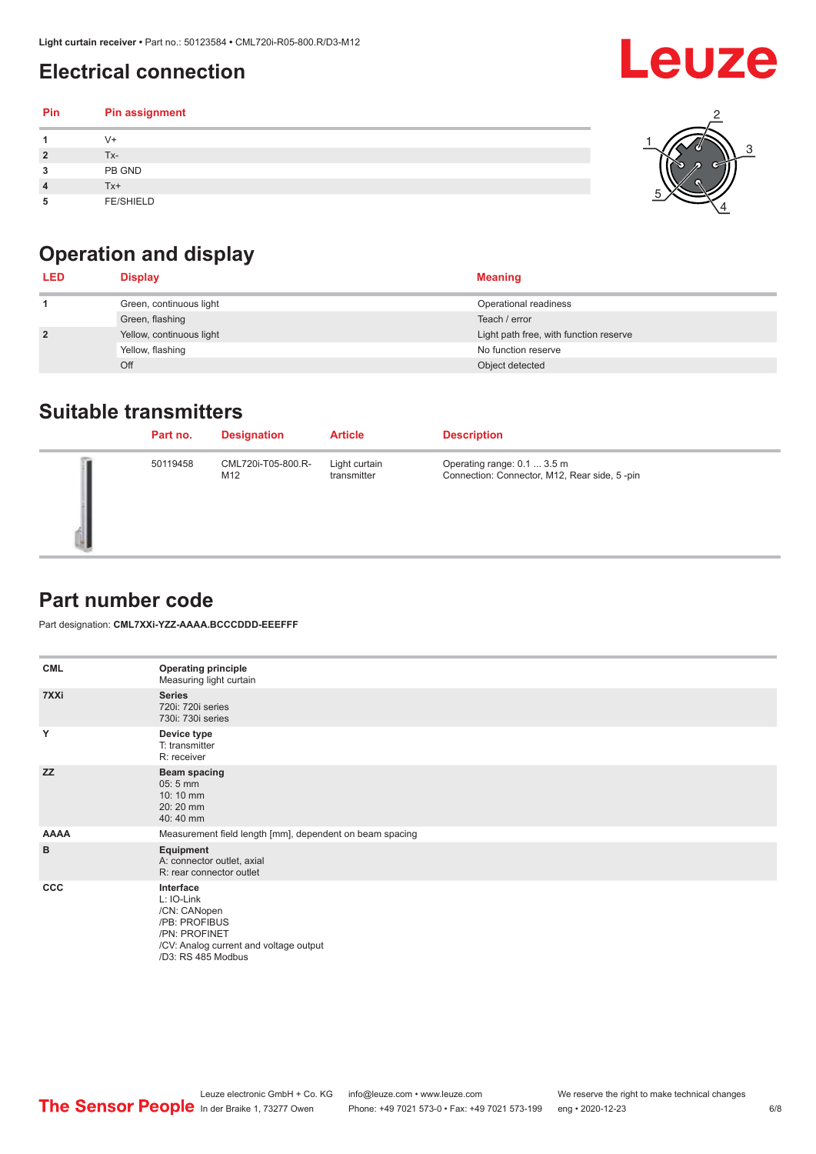## <span id="page-5-0"></span>**Electrical connection**

#### **Pin Pin assignment 1** V+ **2** Tx-**3** PB GND **4** Tx+ **5** FE/SHIELD 3 2 1 5 4



| <b>LED</b>     | <b>Display</b>           | <b>Meaning</b>                         |
|----------------|--------------------------|----------------------------------------|
|                | Green, continuous light  | Operational readiness                  |
|                | Green, flashing          | Teach / error                          |
| $\overline{2}$ | Yellow, continuous light | Light path free, with function reserve |
|                | Yellow, flashing         | No function reserve                    |
|                | Off                      | Object detected                        |

#### **Suitable transmitters**

| Part no. | <b>Designation</b>        | <b>Article</b>               | <b>Description</b>                                                          |
|----------|---------------------------|------------------------------|-----------------------------------------------------------------------------|
| 50119458 | CML720i-T05-800.R-<br>M12 | Light curtain<br>transmitter | Operating range: 0.1  3.5 m<br>Connection: Connector, M12, Rear side, 5-pin |

#### **Part number code**

Part designation: **CML7XXi-YZZ-AAAA.BCCCDDD-EEEFFF**

| <b>CML</b>  | <b>Operating principle</b><br>Measuring light curtain                                                                                     |
|-------------|-------------------------------------------------------------------------------------------------------------------------------------------|
| 7XXi        | <b>Series</b><br>720i: 720i series<br>730i: 730i series                                                                                   |
| Y           | Device type<br>T: transmitter<br>R: receiver                                                                                              |
| <b>ZZ</b>   | <b>Beam spacing</b><br>$05:5$ mm<br>10:10 mm<br>20:20 mm<br>40:40 mm                                                                      |
| <b>AAAA</b> | Measurement field length [mm], dependent on beam spacing                                                                                  |
| в           | Equipment<br>A: connector outlet, axial<br>R: rear connector outlet                                                                       |
| ccc         | Interface<br>L: IO-Link<br>/CN: CANopen<br>/PB: PROFIBUS<br>/PN: PROFINET<br>/CV: Analog current and voltage output<br>/D3: RS 485 Modbus |

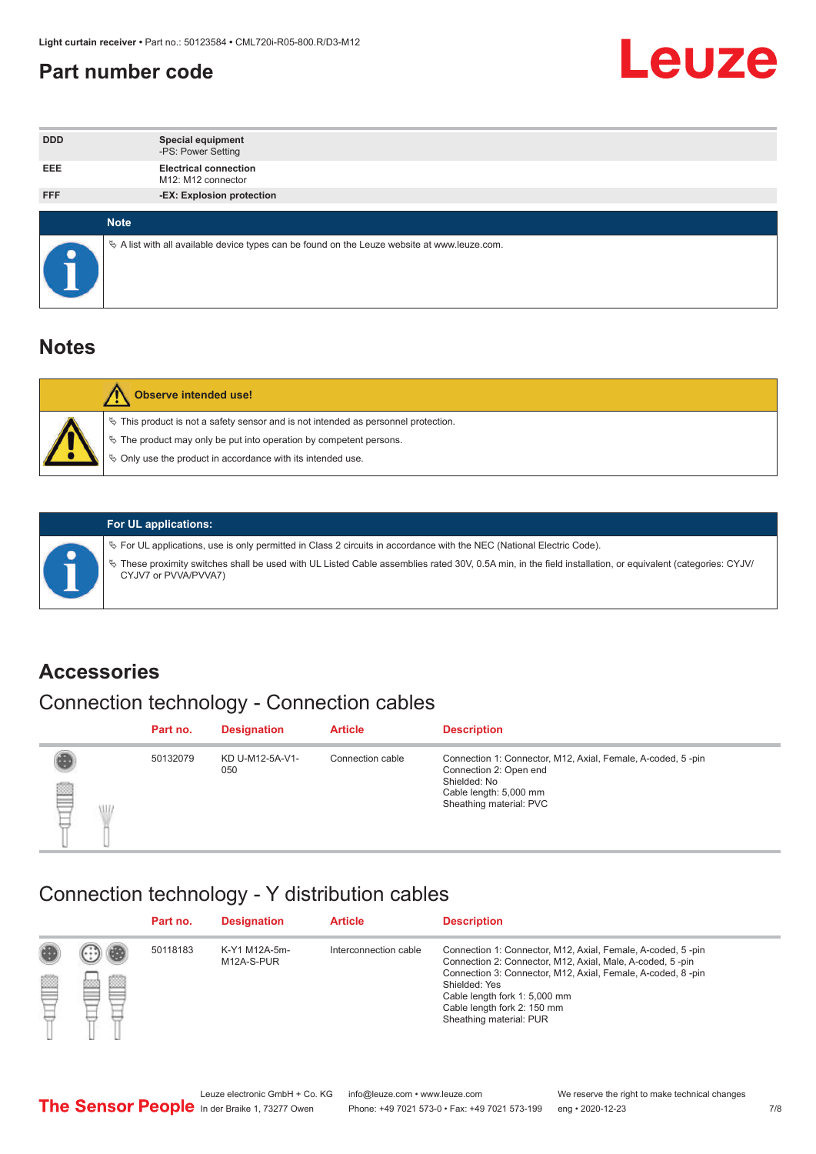#### <span id="page-6-0"></span>**Part number code**



| <b>DDD</b> | <b>Special equipment</b><br>-PS: Power Setting                                                  |
|------------|-------------------------------------------------------------------------------------------------|
| <b>EEE</b> | <b>Electrical connection</b><br>M12: M12 connector                                              |
| <b>FFF</b> | -EX: Explosion protection                                                                       |
|            | <b>Note</b>                                                                                     |
| $\bullet$  | $\&$ A list with all available device types can be found on the Leuze website at www.leuze.com. |

#### **Notes**

| Observe intended use!                                                                                                                                                                                                      |
|----------------------------------------------------------------------------------------------------------------------------------------------------------------------------------------------------------------------------|
| $\%$ This product is not a safety sensor and is not intended as personnel protection.<br>₹ The product may only be put into operation by competent persons.<br>♦ Only use the product in accordance with its intended use. |



#### **For UL applications:**

ª For UL applications, use is only permitted in Class 2 circuits in accordance with the NEC (National Electric Code). ª These proximity switches shall be used with UL Listed Cable assemblies rated 30V, 0.5A min, in the field installation, or equivalent (categories: CYJV/ CYJV7 or PVVA/PVVA7)

#### **Accessories**

## Connection technology - Connection cables

|        | Part no. | <b>Designation</b>     | <b>Article</b>   | <b>Description</b>                                                                                                                                         |
|--------|----------|------------------------|------------------|------------------------------------------------------------------------------------------------------------------------------------------------------------|
| 2<br>W | 50132079 | KD U-M12-5A-V1-<br>050 | Connection cable | Connection 1: Connector, M12, Axial, Female, A-coded, 5-pin<br>Connection 2: Open end<br>Shielded: No<br>Cable length: 5,000 mm<br>Sheathing material: PVC |

#### Connection technology - Y distribution cables

|        |   | Part no. | <b>Designation</b>          | <b>Article</b>        | <b>Description</b>                                                                                                                                                                                                                                                                                  |
|--------|---|----------|-----------------------------|-----------------------|-----------------------------------------------------------------------------------------------------------------------------------------------------------------------------------------------------------------------------------------------------------------------------------------------------|
| 圔<br>⋿ | Ø | 50118183 | K-Y1 M12A-5m-<br>M12A-S-PUR | Interconnection cable | Connection 1: Connector, M12, Axial, Female, A-coded, 5-pin<br>Connection 2: Connector, M12, Axial, Male, A-coded, 5-pin<br>Connection 3: Connector, M12, Axial, Female, A-coded, 8-pin<br>Shielded: Yes<br>Cable length fork 1: 5,000 mm<br>Cable length fork 2: 150 mm<br>Sheathing material: PUR |